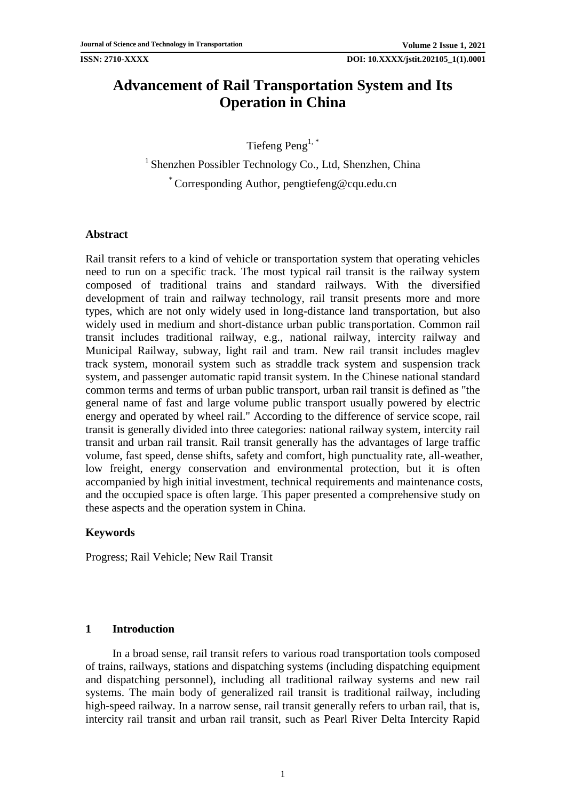# **Advancement of Rail Transportation System and Its Operation in China**

Tiefeng Peng1, \*

<sup>1</sup> Shenzhen Possibler Technology Co., Ltd, Shenzhen, China \* Corresponding Author, pengtiefeng@cqu.edu.cn

## **Abstract**

Rail transit refers to a kind of vehicle or transportation system that operating vehicles need to run on a specific track. The most typical rail transit is the railway system composed of traditional trains and standard railways. With the diversified development of train and railway technology, rail transit presents more and more types, which are not only widely used in long-distance land transportation, but also widely used in medium and short-distance urban public transportation. Common rail transit includes traditional railway, e.g., national railway, intercity railway and Municipal Railway, subway, light rail and tram. New rail transit includes maglev track system, monorail system such as straddle track system and suspension track system, and passenger automatic rapid transit system. In the Chinese national standard common terms and terms of urban public transport, urban rail transit is defined as "the general name of fast and large volume public transport usually powered by electric energy and operated by wheel rail." According to the difference of service scope, rail transit is generally divided into three categories: national railway system, intercity rail transit and urban rail transit. Rail transit generally has the advantages of large traffic volume, fast speed, dense shifts, safety and comfort, high punctuality rate, all-weather, low freight, energy conservation and environmental protection, but it is often accompanied by high initial investment, technical requirements and maintenance costs, and the occupied space is often large. This paper presented a comprehensive study on these aspects and the operation system in China.

## **Keywords**

Progress; Rail Vehicle; New Rail Transit

## **1 Introduction**

In a broad sense, rail transit refers to various road transportation tools composed of trains, railways, stations and dispatching systems (including dispatching equipment and dispatching personnel), including all traditional railway systems and new rail systems. The main body of generalized rail transit is traditional railway, including high-speed railway. In a narrow sense, rail transit generally refers to urban rail, that is, intercity rail transit and urban rail transit, such as Pearl River Delta Intercity Rapid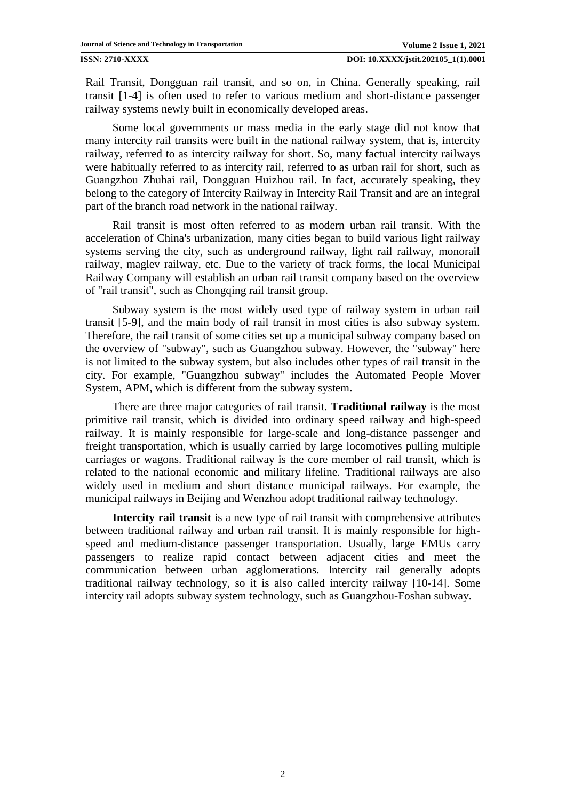Rail Transit, Dongguan rail transit, and so on, in China. Generally speaking, rail transit [\[1-4\]](#page-14-0) is often used to refer to various medium and short-distance passenger railway systems newly built in economically developed areas.

Some local governments or mass media in the early stage did not know that many intercity rail transits were built in the national railway system, that is, intercity railway, referred to as intercity railway for short. So, many factual intercity railways were habitually referred to as intercity rail, referred to as urban rail for short, such as Guangzhou Zhuhai rail, Dongguan Huizhou rail. In fact, accurately speaking, they belong to the category of Intercity Railway in Intercity Rail Transit and are an integral part of the branch road network in the national railway.

Rail transit is most often referred to as modern urban rail transit. With the acceleration of China's urbanization, many cities began to build various light railway systems serving the city, such as underground railway, light rail railway, monorail railway, maglev railway, etc. Due to the variety of track forms, the local Municipal Railway Company will establish an urban rail transit company based on the overview of "rail transit", such as Chongqing rail transit group.

Subway system is the most widely used type of railway system in urban rail transit [\[5-9\]](#page-14-1), and the main body of rail transit in most cities is also subway system. Therefore, the rail transit of some cities set up a municipal subway company based on the overview of "subway", such as Guangzhou subway. However, the "subway" here is not limited to the subway system, but also includes other types of rail transit in the city. For example, "Guangzhou subway" includes the Automated People Mover System, APM, which is different from the subway system.

There are three major categories of rail transit. **Traditional railway** is the most primitive rail transit, which is divided into ordinary speed railway and high-speed railway. It is mainly responsible for large-scale and long-distance passenger and freight transportation, which is usually carried by large locomotives pulling multiple carriages or wagons. Traditional railway is the core member of rail transit, which is related to the national economic and military lifeline. Traditional railways are also widely used in medium and short distance municipal railways. For example, the municipal railways in Beijing and Wenzhou adopt traditional railway technology.

**Intercity rail transit** is a new type of rail transit with comprehensive attributes between traditional railway and urban rail transit. It is mainly responsible for highspeed and medium-distance passenger transportation. Usually, large EMUs carry passengers to realize rapid contact between adjacent cities and meet the communication between urban agglomerations. Intercity rail generally adopts traditional railway technology, so it is also called intercity railway [\[10-14\]](#page-14-2). Some intercity rail adopts subway system technology, such as Guangzhou-Foshan subway.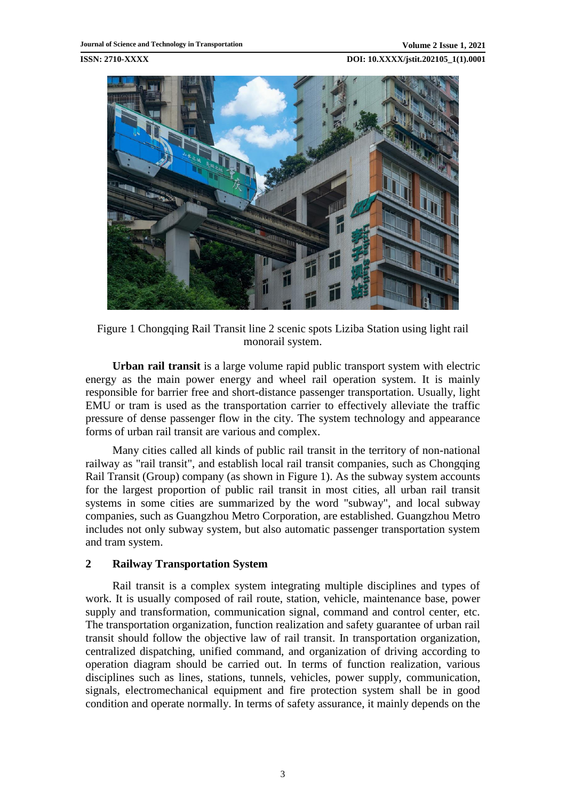

Figure 1 Chongqing Rail Transit line 2 scenic spots Liziba Station using light rail monorail system.

**Urban rail transit** is a large volume rapid public transport system with electric energy as the main power energy and wheel rail operation system. It is mainly responsible for barrier free and short-distance passenger transportation. Usually, light EMU or tram is used as the transportation carrier to effectively alleviate the traffic pressure of dense passenger flow in the city. The system technology and appearance forms of urban rail transit are various and complex.

Many cities called all kinds of public rail transit in the territory of non-national railway as "rail transit", and establish local rail transit companies, such as Chongqing Rail Transit (Group) company (as shown in Figure 1). As the subway system accounts for the largest proportion of public rail transit in most cities, all urban rail transit systems in some cities are summarized by the word "subway", and local subway companies, such as Guangzhou Metro Corporation, are established. Guangzhou Metro includes not only subway system, but also automatic passenger transportation system and tram system.

## **2 Railway Transportation System**

Rail transit is a complex system integrating multiple disciplines and types of work. It is usually composed of rail route, station, vehicle, maintenance base, power supply and transformation, communication signal, command and control center, etc. The transportation organization, function realization and safety guarantee of urban rail transit should follow the objective law of rail transit. In transportation organization, centralized dispatching, unified command, and organization of driving according to operation diagram should be carried out. In terms of function realization, various disciplines such as lines, stations, tunnels, vehicles, power supply, communication, signals, electromechanical equipment and fire protection system shall be in good condition and operate normally. In terms of safety assurance, it mainly depends on the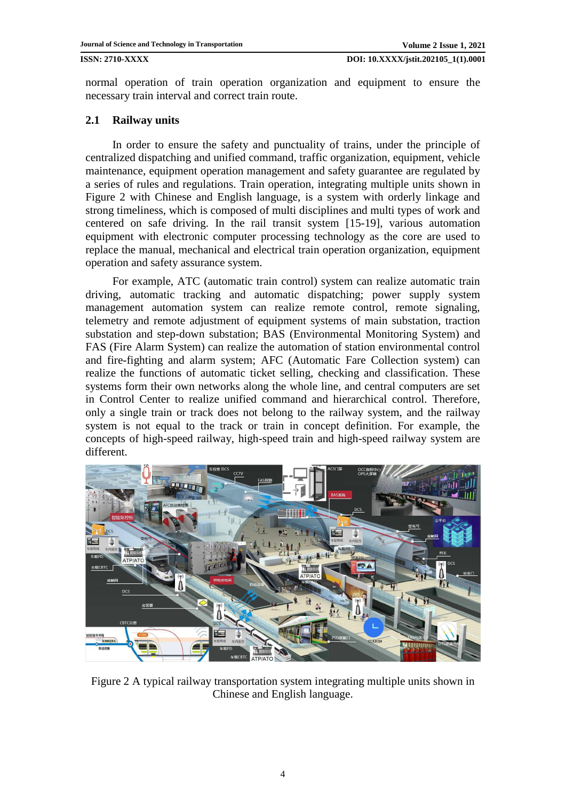normal operation of train operation organization and equipment to ensure the necessary train interval and correct train route.

## **2.1 Railway units**

In order to ensure the safety and punctuality of trains, under the principle of centralized dispatching and unified command, traffic organization, equipment, vehicle maintenance, equipment operation management and safety guarantee are regulated by a series of rules and regulations. Train operation, integrating multiple units shown in Figure 2 with Chinese and English language, is a system with orderly linkage and strong timeliness, which is composed of multi disciplines and multi types of work and centered on safe driving. In the rail transit system [\[15-19\]](#page-15-0), various automation equipment with electronic computer processing technology as the core are used to replace the manual, mechanical and electrical train operation organization, equipment operation and safety assurance system.

For example, ATC (automatic train control) system can realize automatic train driving, automatic tracking and automatic dispatching; power supply system management automation system can realize remote control, remote signaling, telemetry and remote adjustment of equipment systems of main substation, traction substation and step-down substation; BAS (Environmental Monitoring System) and FAS (Fire Alarm System) can realize the automation of station environmental control and fire-fighting and alarm system; AFC (Automatic Fare Collection system) can realize the functions of automatic ticket selling, checking and classification. These systems form their own networks along the whole line, and central computers are set in Control Center to realize unified command and hierarchical control. Therefore, only a single train or track does not belong to the railway system, and the railway system is not equal to the track or train in concept definition. For example, the concepts of high-speed railway, high-speed train and high-speed railway system are different.



Figure 2 A typical railway transportation system integrating multiple units shown in Chinese and English language.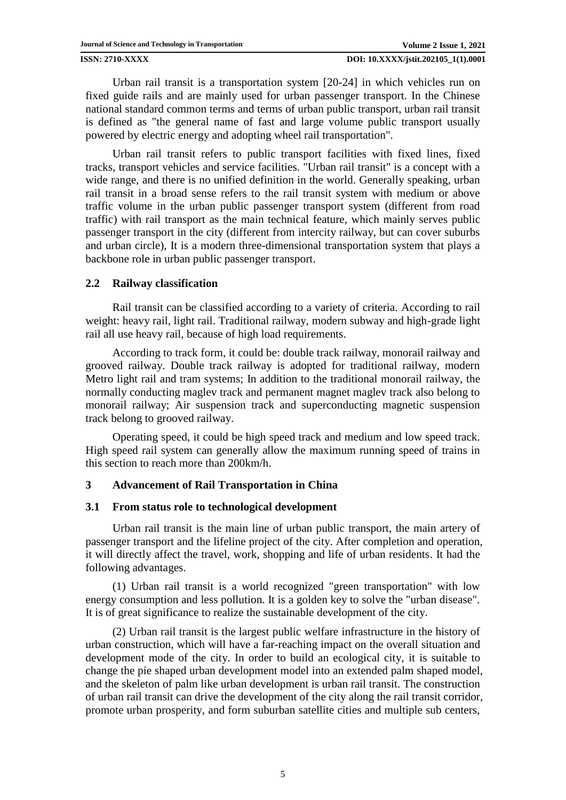Urban rail transit is a transportation system [\[20-24\]](#page-15-1) in which vehicles run on fixed guide rails and are mainly used for urban passenger transport. In the Chinese national standard common terms and terms of urban public transport, urban rail transit is defined as "the general name of fast and large volume public transport usually powered by electric energy and adopting wheel rail transportation".

Urban rail transit refers to public transport facilities with fixed lines, fixed tracks, transport vehicles and service facilities. "Urban rail transit" is a concept with a wide range, and there is no unified definition in the world. Generally speaking, urban rail transit in a broad sense refers to the rail transit system with medium or above traffic volume in the urban public passenger transport system (different from road traffic) with rail transport as the main technical feature, which mainly serves public passenger transport in the city (different from intercity railway, but can cover suburbs and urban circle), It is a modern three-dimensional transportation system that plays a backbone role in urban public passenger transport.

## **2.2 Railway classification**

Rail transit can be classified according to a variety of criteria. According to rail weight: heavy rail, light rail. Traditional railway, modern subway and high-grade light rail all use heavy rail, because of high load requirements.

According to track form, it could be: double track railway, monorail railway and grooved railway. Double track railway is adopted for traditional railway, modern Metro light rail and tram systems; In addition to the traditional monorail railway, the normally conducting maglev track and permanent magnet maglev track also belong to monorail railway; Air suspension track and superconducting magnetic suspension track belong to grooved railway.

Operating speed, it could be high speed track and medium and low speed track. High speed rail system can generally allow the maximum running speed of trains in this section to reach more than 200km/h.

## **3 Advancement of Rail Transportation in China**

## **3.1 From status role to technological development**

Urban rail transit is the main line of urban public transport, the main artery of passenger transport and the lifeline project of the city. After completion and operation, it will directly affect the travel, work, shopping and life of urban residents. It had the following advantages.

(1) Urban rail transit is a world recognized "green transportation" with low energy consumption and less pollution. It is a golden key to solve the "urban disease". It is of great significance to realize the sustainable development of the city.

(2) Urban rail transit is the largest public welfare infrastructure in the history of urban construction, which will have a far-reaching impact on the overall situation and development mode of the city. In order to build an ecological city, it is suitable to change the pie shaped urban development model into an extended palm shaped model, and the skeleton of palm like urban development is urban rail transit. The construction of urban rail transit can drive the development of the city along the rail transit corridor, promote urban prosperity, and form suburban satellite cities and multiple sub centers,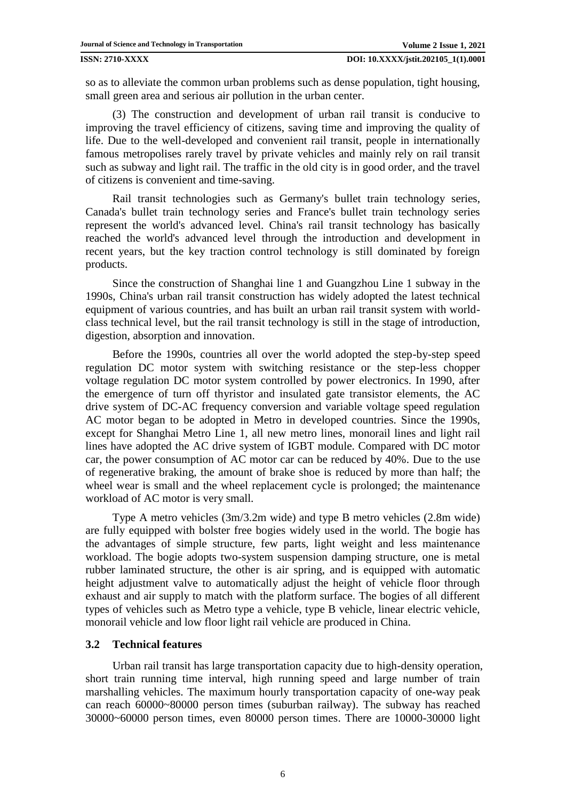so as to alleviate the common urban problems such as dense population, tight housing, small green area and serious air pollution in the urban center.

(3) The construction and development of urban rail transit is conducive to improving the travel efficiency of citizens, saving time and improving the quality of life. Due to the well-developed and convenient rail transit, people in internationally famous metropolises rarely travel by private vehicles and mainly rely on rail transit such as subway and light rail. The traffic in the old city is in good order, and the travel of citizens is convenient and time-saving.

Rail transit technologies such as Germany's bullet train technology series, Canada's bullet train technology series and France's bullet train technology series represent the world's advanced level. China's rail transit technology has basically reached the world's advanced level through the introduction and development in recent years, but the key traction control technology is still dominated by foreign products.

Since the construction of Shanghai line 1 and Guangzhou Line 1 subway in the 1990s, China's urban rail transit construction has widely adopted the latest technical equipment of various countries, and has built an urban rail transit system with worldclass technical level, but the rail transit technology is still in the stage of introduction, digestion, absorption and innovation.

Before the 1990s, countries all over the world adopted the step-by-step speed regulation DC motor system with switching resistance or the step-less chopper voltage regulation DC motor system controlled by power electronics. In 1990, after the emergence of turn off thyristor and insulated gate transistor elements, the AC drive system of DC-AC frequency conversion and variable voltage speed regulation AC motor began to be adopted in Metro in developed countries. Since the 1990s, except for Shanghai Metro Line 1, all new metro lines, monorail lines and light rail lines have adopted the AC drive system of IGBT module. Compared with DC motor car, the power consumption of AC motor car can be reduced by 40%. Due to the use of regenerative braking, the amount of brake shoe is reduced by more than half; the wheel wear is small and the wheel replacement cycle is prolonged; the maintenance workload of AC motor is very small.

Type A metro vehicles (3m/3.2m wide) and type B metro vehicles (2.8m wide) are fully equipped with bolster free bogies widely used in the world. The bogie has the advantages of simple structure, few parts, light weight and less maintenance workload. The bogie adopts two-system suspension damping structure, one is metal rubber laminated structure, the other is air spring, and is equipped with automatic height adjustment valve to automatically adjust the height of vehicle floor through exhaust and air supply to match with the platform surface. The bogies of all different types of vehicles such as Metro type a vehicle, type B vehicle, linear electric vehicle, monorail vehicle and low floor light rail vehicle are produced in China.

## **3.2 Technical features**

Urban rail transit has large transportation capacity due to high-density operation, short train running time interval, high running speed and large number of train marshalling vehicles. The maximum hourly transportation capacity of one-way peak can reach 60000~80000 person times (suburban railway). The subway has reached 30000~60000 person times, even 80000 person times. There are 10000-30000 light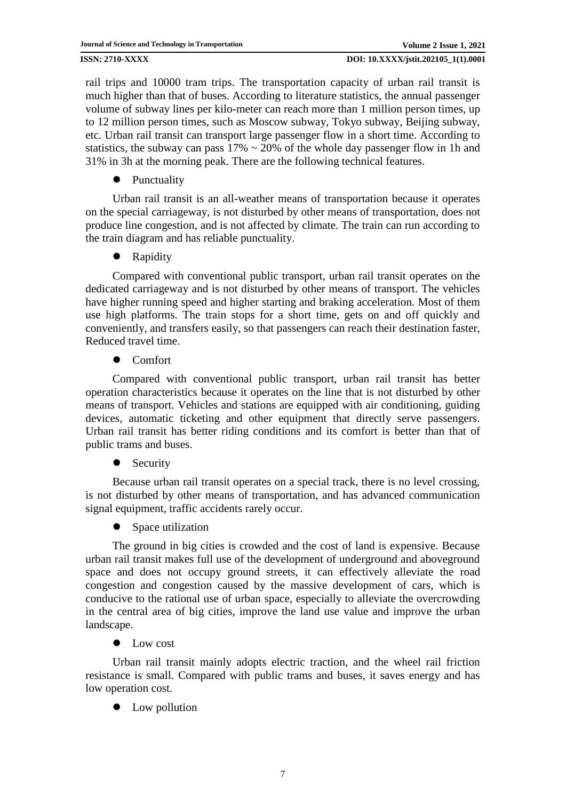rail trips and 10000 tram trips. The transportation capacity of urban rail transit is much higher than that of buses. According to literature statistics, the annual passenger volume of subway lines per kilo-meter can reach more than 1 million person times, up to 12 million person times, such as Moscow subway, Tokyo subway, Beijing subway, etc. Urban rail transit can transport large passenger flow in a short time. According to statistics, the subway can pass  $17\% \sim 20\%$  of the whole day passenger flow in 1h and 31% in 3h at the morning peak. There are the following technical features.

• Punctuality

Urban rail transit is an all-weather means of transportation because it operates on the special carriageway, is not disturbed by other means of transportation, does not produce line congestion, and is not affected by climate. The train can run according to the train diagram and has reliable punctuality.

Rapidity

Compared with conventional public transport, urban rail transit operates on the dedicated carriageway and is not disturbed by other means of transport. The vehicles have higher running speed and higher starting and braking acceleration. Most of them use high platforms. The train stops for a short time, gets on and off quickly and conveniently, and transfers easily, so that passengers can reach their destination faster, Reduced travel time.

Comfort

Compared with conventional public transport, urban rail transit has better operation characteristics because it operates on the line that is not disturbed by other means of transport. Vehicles and stations are equipped with air conditioning, guiding devices, automatic ticketing and other equipment that directly serve passengers. Urban rail transit has better riding conditions and its comfort is better than that of public trams and buses.

• Security

Because urban rail transit operates on a special track, there is no level crossing, is not disturbed by other means of transportation, and has advanced communication signal equipment, traffic accidents rarely occur.

• Space utilization

The ground in big cities is crowded and the cost of land is expensive. Because urban rail transit makes full use of the development of underground and aboveground space and does not occupy ground streets, it can effectively alleviate the road congestion and congestion caused by the massive development of cars, which is conducive to the rational use of urban space, especially to alleviate the overcrowding in the central area of big cities, improve the land use value and improve the urban landscape.

• Low cost

Urban rail transit mainly adopts electric traction, and the wheel rail friction resistance is small. Compared with public trams and buses, it saves energy and has low operation cost.

• Low pollution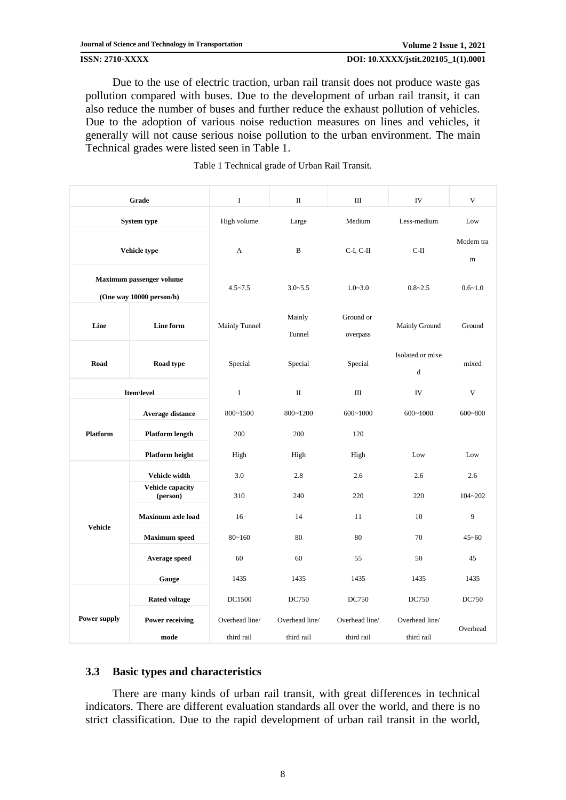Due to the use of electric traction, urban rail transit does not produce waste gas pollution compared with buses. Due to the development of urban rail transit, it can also reduce the number of buses and further reduce the exhaust pollution of vehicles. Due to the adoption of various noise reduction measures on lines and vehicles, it generally will not cause serious noise pollution to the urban environment. The main Technical grades were listed seen in Table 1.

|                                                             | Grade                               |                              | $\rm II$                     | Ш                            | IV                              | V                         |
|-------------------------------------------------------------|-------------------------------------|------------------------------|------------------------------|------------------------------|---------------------------------|---------------------------|
| System type                                                 |                                     | High volume                  | Large                        | Medium                       | Less-medium                     | Low                       |
| Vehicle type                                                |                                     | A                            | B                            | $C-I, C-II$                  | $C-II$                          | Modern tra<br>$\mathbf m$ |
| <b>Maximum passenger volume</b><br>(One way 10000 person/h) |                                     | $4.5 - 7.5$                  | $3.0 - 5.5$                  | $1.0 - 3.0$                  | $0.8 - 2.5$                     | $0.6 - 1.0$               |
| Line                                                        | Line form                           | Mainly Tunnel                | Mainly<br>Tunnel             | Ground or<br>overpass        | Mainly Ground                   | Ground                    |
| Road                                                        | Road type                           | Special                      | Special                      | Special                      | Isolated or mixe<br>$\mathbf d$ | mixed                     |
| Item\level                                                  |                                     | $\bf{I}$                     | $\rm II$                     | Ш                            | IV                              | V                         |
| Platform                                                    | Average distance                    | 800~1500                     | 800~1200                     | $600 - 1000$                 | $600 - 1000$                    | $600 - 800$               |
|                                                             | <b>Platform length</b>              | 200                          | 200                          | 120                          |                                 |                           |
|                                                             | Platform height                     | High                         | High                         | High                         | Low                             | Low                       |
| <b>Vehicle</b>                                              | Vehicle width                       | 3.0                          | 2.8                          | 2.6                          | 2.6                             | 2.6                       |
|                                                             | <b>Vehicle capacity</b><br>(person) | 310                          | 240                          | 220                          | 220                             | $104 - 202$               |
|                                                             | <b>Maximum axle load</b>            | 16                           | 14                           | 11                           | 10                              | 9                         |
|                                                             | <b>Maximum</b> speed                | $80 - 160$                   | 80                           | 80                           | 70                              | $45 - 60$                 |
|                                                             | Average speed                       | 60                           | 60                           | 55                           | 50                              | 45                        |
|                                                             | Gauge                               | 1435                         | 1435                         | 1435                         | 1435                            | 1435                      |
| <b>Power supply</b>                                         | <b>Rated voltage</b>                | DC1500                       | DC750                        | DC750                        | DC750                           | DC750                     |
|                                                             | <b>Power receiving</b><br>mode      | Overhead line/<br>third rail | Overhead line/<br>third rail | Overhead line/<br>third rail | Overhead line/<br>third rail    | Overhead                  |

### Table 1 Technical grade of Urban Rail Transit.

## **3.3 Basic types and characteristics**

There are many kinds of urban rail transit, with great differences in technical indicators. There are different evaluation standards all over the world, and there is no strict classification. Due to the rapid development of urban rail transit in the world,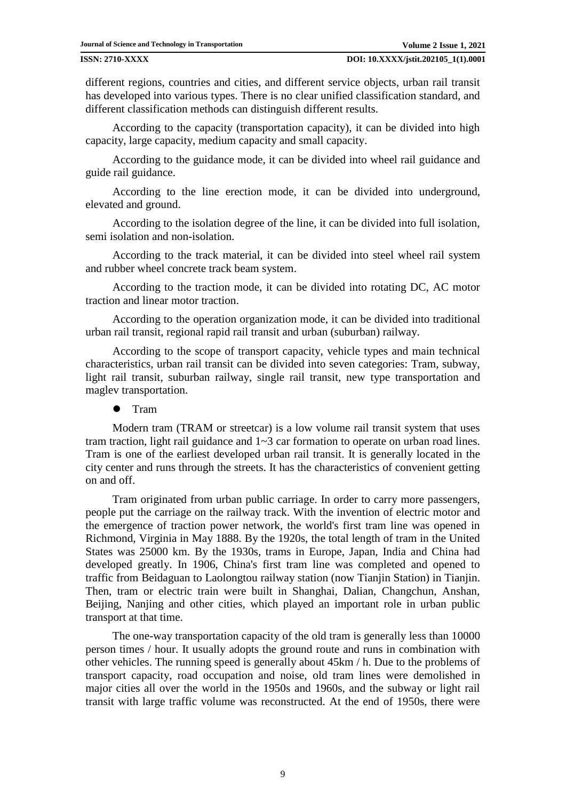different regions, countries and cities, and different service objects, urban rail transit has developed into various types. There is no clear unified classification standard, and different classification methods can distinguish different results.

According to the capacity (transportation capacity), it can be divided into high capacity, large capacity, medium capacity and small capacity.

According to the guidance mode, it can be divided into wheel rail guidance and guide rail guidance.

According to the line erection mode, it can be divided into underground, elevated and ground.

According to the isolation degree of the line, it can be divided into full isolation, semi isolation and non-isolation.

According to the track material, it can be divided into steel wheel rail system and rubber wheel concrete track beam system.

According to the traction mode, it can be divided into rotating DC, AC motor traction and linear motor traction.

According to the operation organization mode, it can be divided into traditional urban rail transit, regional rapid rail transit and urban (suburban) railway.

According to the scope of transport capacity, vehicle types and main technical characteristics, urban rail transit can be divided into seven categories: Tram, subway, light rail transit, suburban railway, single rail transit, new type transportation and maglev transportation.

## **•** Tram

Modern tram (TRAM or streetcar) is a low volume rail transit system that uses tram traction, light rail guidance and 1~3 car formation to operate on urban road lines. Tram is one of the earliest developed urban rail transit. It is generally located in the city center and runs through the streets. It has the characteristics of convenient getting on and off.

Tram originated from urban public carriage. In order to carry more passengers, people put the carriage on the railway track. With the invention of electric motor and the emergence of traction power network, the world's first tram line was opened in Richmond, Virginia in May 1888. By the 1920s, the total length of tram in the United States was 25000 km. By the 1930s, trams in Europe, Japan, India and China had developed greatly. In 1906, China's first tram line was completed and opened to traffic from Beidaguan to Laolongtou railway station (now Tianjin Station) in Tianjin. Then, tram or electric train were built in Shanghai, Dalian, Changchun, Anshan, Beijing, Nanjing and other cities, which played an important role in urban public transport at that time.

The one-way transportation capacity of the old tram is generally less than 10000 person times / hour. It usually adopts the ground route and runs in combination with other vehicles. The running speed is generally about 45km / h. Due to the problems of transport capacity, road occupation and noise, old tram lines were demolished in major cities all over the world in the 1950s and 1960s, and the subway or light rail transit with large traffic volume was reconstructed. At the end of 1950s, there were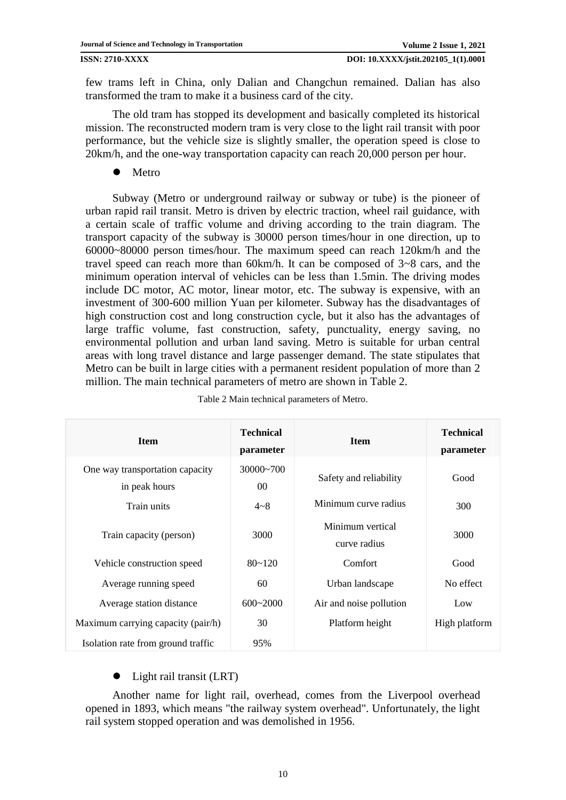few trams left in China, only Dalian and Changchun remained. Dalian has also transformed the tram to make it a business card of the city.

The old tram has stopped its development and basically completed its historical mission. The reconstructed modern tram is very close to the light rail transit with poor performance, but the vehicle size is slightly smaller, the operation speed is close to 20km/h, and the one-way transportation capacity can reach 20,000 person per hour.

Metro

Subway (Metro or underground railway or subway or tube) is the pioneer of urban rapid rail transit. Metro is driven by electric traction, wheel rail guidance, with a certain scale of traffic volume and driving according to the train diagram. The transport capacity of the subway is 30000 person times/hour in one direction, up to 60000~80000 person times/hour. The maximum speed can reach 120km/h and the travel speed can reach more than 60km/h. It can be composed of 3~8 cars, and the minimum operation interval of vehicles can be less than 1.5min. The driving modes include DC motor, AC motor, linear motor, etc. The subway is expensive, with an investment of 300-600 million Yuan per kilometer. Subway has the disadvantages of high construction cost and long construction cycle, but it also has the advantages of large traffic volume, fast construction, safety, punctuality, energy saving, no environmental pollution and urban land saving. Metro is suitable for urban central areas with long travel distance and large passenger demand. The state stipulates that Metro can be built in large cities with a permanent resident population of more than 2 million. The main technical parameters of metro are shown in Table 2.

| <b>Item</b>                                      | <b>Technical</b><br>parameter | <b>Item</b>                      | <b>Technical</b><br>parameter |
|--------------------------------------------------|-------------------------------|----------------------------------|-------------------------------|
| One way transportation capacity<br>in peak hours | $30000 - 700$<br>$00\,$       | Safety and reliability           | Good                          |
| Train units                                      | $4 - 8$                       | Minimum curve radius             | 300                           |
| Train capacity (person)                          | 3000                          | Minimum vertical<br>curve radius | 3000                          |
| Vehicle construction speed                       | $80 - 120$                    | Comfort                          | Good                          |
| Average running speed                            | 60                            | Urban landscape                  | No effect                     |
| Average station distance                         | $600 - 2000$                  | Air and noise pollution          | Low                           |
| Maximum carrying capacity (pair/h)               | 30                            | Platform height                  | High platform                 |
| Isolation rate from ground traffic               | 95%                           |                                  |                               |

Table 2 Main technical parameters of Metro.

## • Light rail transit (LRT)

Another name for light rail, overhead, comes from the Liverpool overhead opened in 1893, which means "the railway system overhead". Unfortunately, the light rail system stopped operation and was demolished in 1956.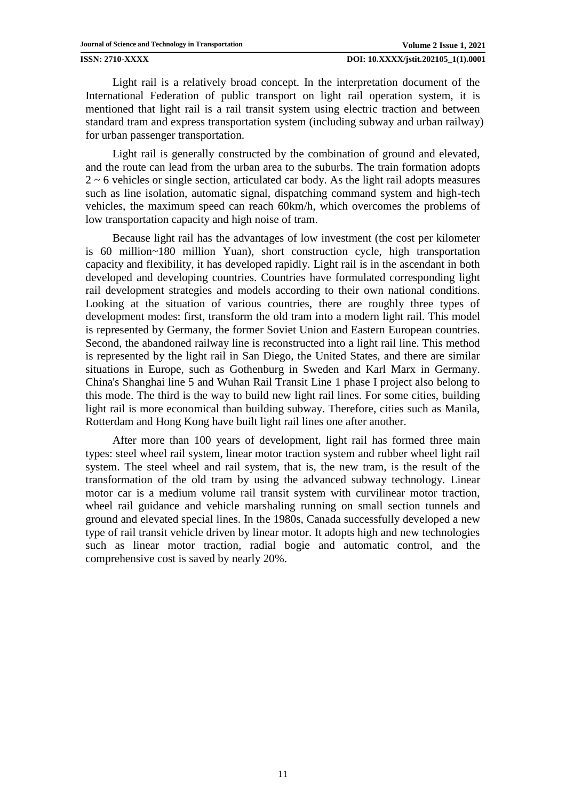Light rail is a relatively broad concept. In the interpretation document of the International Federation of public transport on light rail operation system, it is mentioned that light rail is a rail transit system using electric traction and between standard tram and express transportation system (including subway and urban railway) for urban passenger transportation.

Light rail is generally constructed by the combination of ground and elevated, and the route can lead from the urban area to the suburbs. The train formation adopts  $2 \sim 6$  vehicles or single section, articulated car body. As the light rail adopts measures such as line isolation, automatic signal, dispatching command system and high-tech vehicles, the maximum speed can reach 60km/h, which overcomes the problems of low transportation capacity and high noise of tram.

Because light rail has the advantages of low investment (the cost per kilometer is 60 million~180 million Yuan), short construction cycle, high transportation capacity and flexibility, it has developed rapidly. Light rail is in the ascendant in both developed and developing countries. Countries have formulated corresponding light rail development strategies and models according to their own national conditions. Looking at the situation of various countries, there are roughly three types of development modes: first, transform the old tram into a modern light rail. This model is represented by Germany, the former Soviet Union and Eastern European countries. Second, the abandoned railway line is reconstructed into a light rail line. This method is represented by the light rail in San Diego, the United States, and there are similar situations in Europe, such as Gothenburg in Sweden and Karl Marx in Germany. China's Shanghai line 5 and Wuhan Rail Transit Line 1 phase I project also belong to this mode. The third is the way to build new light rail lines. For some cities, building light rail is more economical than building subway. Therefore, cities such as Manila, Rotterdam and Hong Kong have built light rail lines one after another.

After more than 100 years of development, light rail has formed three main types: steel wheel rail system, linear motor traction system and rubber wheel light rail system. The steel wheel and rail system, that is, the new tram, is the result of the transformation of the old tram by using the advanced subway technology. Linear motor car is a medium volume rail transit system with curvilinear motor traction, wheel rail guidance and vehicle marshaling running on small section tunnels and ground and elevated special lines. In the 1980s, Canada successfully developed a new type of rail transit vehicle driven by linear motor. It adopts high and new technologies such as linear motor traction, radial bogie and automatic control, and the comprehensive cost is saved by nearly 20%.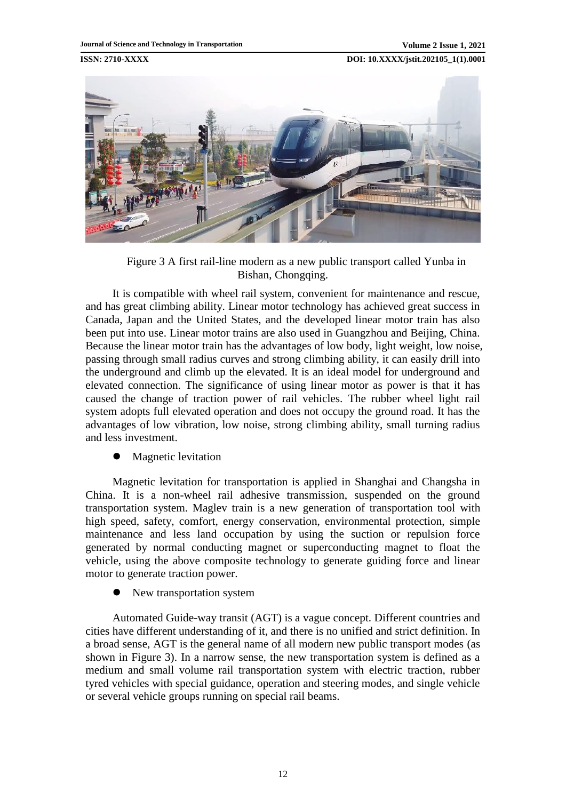

Figure 3 A first rail-line modern as a new public transport called Yunba in Bishan, Chongqing.

It is compatible with wheel rail system, convenient for maintenance and rescue, and has great climbing ability. Linear motor technology has achieved great success in Canada, Japan and the United States, and the developed linear motor train has also been put into use. Linear motor trains are also used in Guangzhou and Beijing, China. Because the linear motor train has the advantages of low body, light weight, low noise, passing through small radius curves and strong climbing ability, it can easily drill into the underground and climb up the elevated. It is an ideal model for underground and elevated connection. The significance of using linear motor as power is that it has caused the change of traction power of rail vehicles. The rubber wheel light rail system adopts full elevated operation and does not occupy the ground road. It has the advantages of low vibration, low noise, strong climbing ability, small turning radius and less investment.

Magnetic levitation

Magnetic levitation for transportation is applied in Shanghai and Changsha in China. It is a non-wheel rail adhesive transmission, suspended on the ground transportation system. Maglev train is a new generation of transportation tool with high speed, safety, comfort, energy conservation, environmental protection, simple maintenance and less land occupation by using the suction or repulsion force generated by normal conducting magnet or superconducting magnet to float the vehicle, using the above composite technology to generate guiding force and linear motor to generate traction power.

New transportation system

Automated Guide-way transit (AGT) is a vague concept. Different countries and cities have different understanding of it, and there is no unified and strict definition. In a broad sense, AGT is the general name of all modern new public transport modes (as shown in Figure 3). In a narrow sense, the new transportation system is defined as a medium and small volume rail transportation system with electric traction, rubber tyred vehicles with special guidance, operation and steering modes, and single vehicle or several vehicle groups running on special rail beams.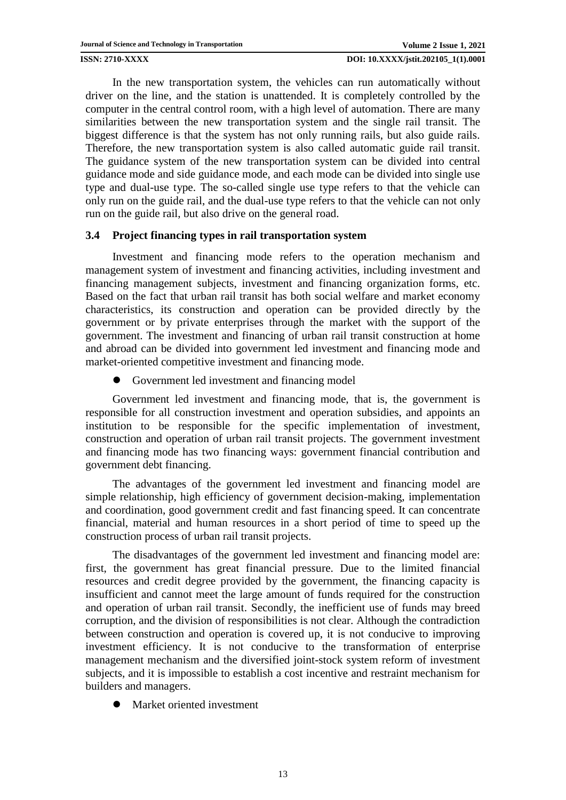In the new transportation system, the vehicles can run automatically without driver on the line, and the station is unattended. It is completely controlled by the computer in the central control room, with a high level of automation. There are many similarities between the new transportation system and the single rail transit. The biggest difference is that the system has not only running rails, but also guide rails. Therefore, the new transportation system is also called automatic guide rail transit. The guidance system of the new transportation system can be divided into central guidance mode and side guidance mode, and each mode can be divided into single use type and dual-use type. The so-called single use type refers to that the vehicle can only run on the guide rail, and the dual-use type refers to that the vehicle can not only run on the guide rail, but also drive on the general road.

## **3.4 Project financing types in rail transportation system**

Investment and financing mode refers to the operation mechanism and management system of investment and financing activities, including investment and financing management subjects, investment and financing organization forms, etc. Based on the fact that urban rail transit has both social welfare and market economy characteristics, its construction and operation can be provided directly by the government or by private enterprises through the market with the support of the government. The investment and financing of urban rail transit construction at home and abroad can be divided into government led investment and financing mode and market-oriented competitive investment and financing mode.

Government led investment and financing model

Government led investment and financing mode, that is, the government is responsible for all construction investment and operation subsidies, and appoints an institution to be responsible for the specific implementation of investment, construction and operation of urban rail transit projects. The government investment and financing mode has two financing ways: government financial contribution and government debt financing.

The advantages of the government led investment and financing model are simple relationship, high efficiency of government decision-making, implementation and coordination, good government credit and fast financing speed. It can concentrate financial, material and human resources in a short period of time to speed up the construction process of urban rail transit projects.

The disadvantages of the government led investment and financing model are: first, the government has great financial pressure. Due to the limited financial resources and credit degree provided by the government, the financing capacity is insufficient and cannot meet the large amount of funds required for the construction and operation of urban rail transit. Secondly, the inefficient use of funds may breed corruption, and the division of responsibilities is not clear. Although the contradiction between construction and operation is covered up, it is not conducive to improving investment efficiency. It is not conducive to the transformation of enterprise management mechanism and the diversified joint-stock system reform of investment subjects, and it is impossible to establish a cost incentive and restraint mechanism for builders and managers.

Market oriented investment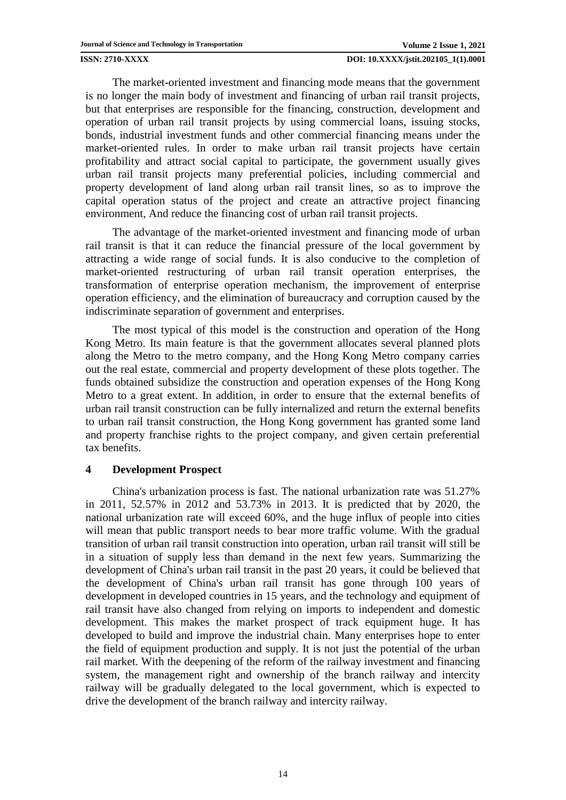The market-oriented investment and financing mode means that the government is no longer the main body of investment and financing of urban rail transit projects, but that enterprises are responsible for the financing, construction, development and operation of urban rail transit projects by using commercial loans, issuing stocks, bonds, industrial investment funds and other commercial financing means under the market-oriented rules. In order to make urban rail transit projects have certain profitability and attract social capital to participate, the government usually gives urban rail transit projects many preferential policies, including commercial and property development of land along urban rail transit lines, so as to improve the capital operation status of the project and create an attractive project financing environment, And reduce the financing cost of urban rail transit projects.

The advantage of the market-oriented investment and financing mode of urban rail transit is that it can reduce the financial pressure of the local government by attracting a wide range of social funds. It is also conducive to the completion of market-oriented restructuring of urban rail transit operation enterprises, the transformation of enterprise operation mechanism, the improvement of enterprise operation efficiency, and the elimination of bureaucracy and corruption caused by the indiscriminate separation of government and enterprises.

The most typical of this model is the construction and operation of the Hong Kong Metro. Its main feature is that the government allocates several planned plots along the Metro to the metro company, and the Hong Kong Metro company carries out the real estate, commercial and property development of these plots together. The funds obtained subsidize the construction and operation expenses of the Hong Kong Metro to a great extent. In addition, in order to ensure that the external benefits of urban rail transit construction can be fully internalized and return the external benefits to urban rail transit construction, the Hong Kong government has granted some land and property franchise rights to the project company, and given certain preferential tax benefits.

## **4 Development Prospect**

China's urbanization process is fast. The national urbanization rate was 51.27% in 2011, 52.57% in 2012 and 53.73% in 2013. It is predicted that by 2020, the national urbanization rate will exceed 60%, and the huge influx of people into cities will mean that public transport needs to bear more traffic volume. With the gradual transition of urban rail transit construction into operation, urban rail transit will still be in a situation of supply less than demand in the next few years. Summarizing the development of China's urban rail transit in the past 20 years, it could be believed that the development of China's urban rail transit has gone through 100 years of development in developed countries in 15 years, and the technology and equipment of rail transit have also changed from relying on imports to independent and domestic development. This makes the market prospect of track equipment huge. It has developed to build and improve the industrial chain. Many enterprises hope to enter the field of equipment production and supply. It is not just the potential of the urban rail market. With the deepening of the reform of the railway investment and financing system, the management right and ownership of the branch railway and intercity railway will be gradually delegated to the local government, which is expected to drive the development of the branch railway and intercity railway.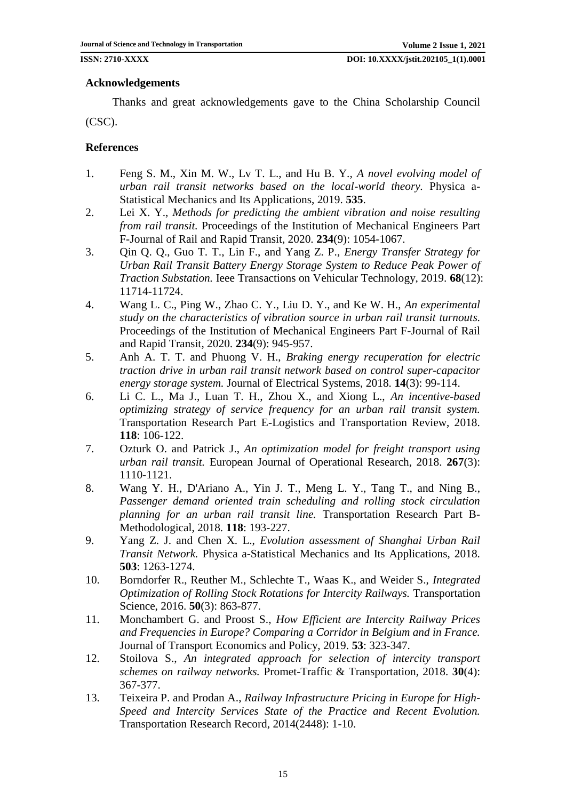## **Acknowledgements**

Thanks and great acknowledgements gave to the China Scholarship Council (CSC).

## **References**

- <span id="page-14-0"></span>1. Feng S. M., Xin M. W., Lv T. L., and Hu B. Y., *A novel evolving model of urban rail transit networks based on the local-world theory.* Physica a-Statistical Mechanics and Its Applications, 2019. **535**.
- 2. Lei X. Y., *Methods for predicting the ambient vibration and noise resulting from rail transit.* Proceedings of the Institution of Mechanical Engineers Part F-Journal of Rail and Rapid Transit, 2020. **234**(9): 1054-1067.
- 3. Qin Q. Q., Guo T. T., Lin F., and Yang Z. P., *Energy Transfer Strategy for Urban Rail Transit Battery Energy Storage System to Reduce Peak Power of Traction Substation.* Ieee Transactions on Vehicular Technology, 2019. **68**(12): 11714-11724.
- 4. Wang L. C., Ping W., Zhao C. Y., Liu D. Y., and Ke W. H., *An experimental study on the characteristics of vibration source in urban rail transit turnouts.* Proceedings of the Institution of Mechanical Engineers Part F-Journal of Rail and Rapid Transit, 2020. **234**(9): 945-957.
- <span id="page-14-1"></span>5. Anh A. T. T. and Phuong V. H., *Braking energy recuperation for electric traction drive in urban rail transit network based on control super-capacitor energy storage system.* Journal of Electrical Systems, 2018. **14**(3): 99-114.
- 6. Li C. L., Ma J., Luan T. H., Zhou X., and Xiong L., *An incentive-based optimizing strategy of service frequency for an urban rail transit system.* Transportation Research Part E-Logistics and Transportation Review, 2018. **118**: 106-122.
- 7. Ozturk O. and Patrick J., *An optimization model for freight transport using urban rail transit.* European Journal of Operational Research, 2018. **267**(3): 1110-1121.
- 8. Wang Y. H., D'Ariano A., Yin J. T., Meng L. Y., Tang T., and Ning B., *Passenger demand oriented train scheduling and rolling stock circulation planning for an urban rail transit line.* Transportation Research Part B-Methodological, 2018. **118**: 193-227.
- 9. Yang Z. J. and Chen X. L., *Evolution assessment of Shanghai Urban Rail Transit Network.* Physica a-Statistical Mechanics and Its Applications, 2018. **503**: 1263-1274.
- <span id="page-14-2"></span>10. Borndorfer R., Reuther M., Schlechte T., Waas K., and Weider S., *Integrated Optimization of Rolling Stock Rotations for Intercity Railways.* Transportation Science, 2016. **50**(3): 863-877.
- 11. Monchambert G. and Proost S., *How Efficient are Intercity Railway Prices and Frequencies in Europe? Comparing a Corridor in Belgium and in France.* Journal of Transport Economics and Policy, 2019. **53**: 323-347.
- 12. Stoilova S., *An integrated approach for selection of intercity transport schemes on railway networks.* Promet-Traffic & Transportation, 2018. **30**(4): 367-377.
- 13. Teixeira P. and Prodan A., *Railway Infrastructure Pricing in Europe for High-Speed and Intercity Services State of the Practice and Recent Evolution.* Transportation Research Record, 2014(2448): 1-10.